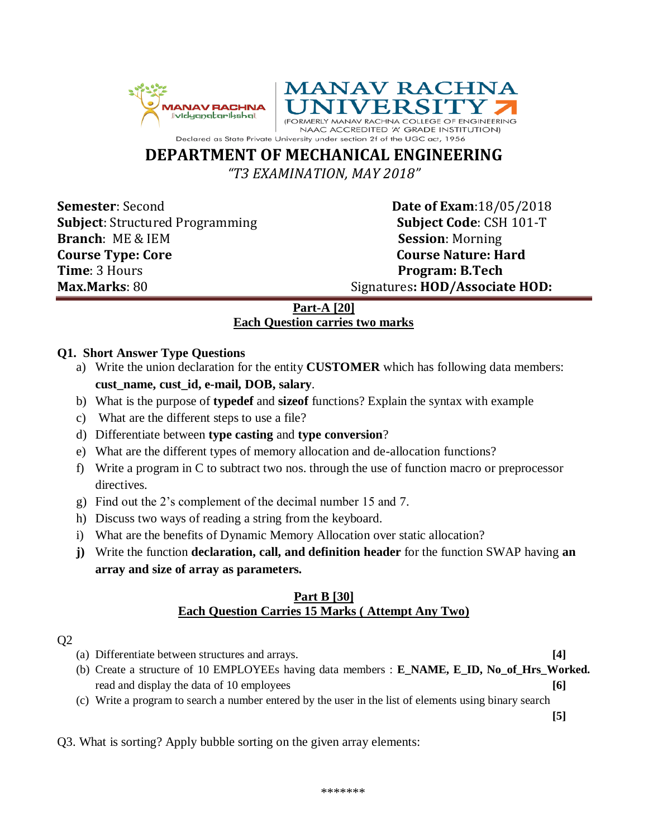



# **DEPARTMENT OF MECHANICAL ENGINEERING**

*"T3 EXAMINATION, MAY 2018"*

**Subject**: Structured Programming **Subject Code**: CSH 101-T **Branch**: ME & IEM **Session**: Morning **Course Type: Core Course Nature: Hard Time**: 3 Hours **Program: B.Tech** 

**Semester**: Second **Date of Exam**: 18/05/2018 **Max.Marks**: 80 Signatures**: HOD/Associate HOD:**

# **Part-A [20] Each Question carries two marks**

## **Q1. Short Answer Type Questions**

- a) Write the union declaration for the entity **CUSTOMER** which has following data members: **cust\_name, cust\_id, e-mail, DOB, salary**.
- b) What is the purpose of **typedef** and **sizeof** functions? Explain the syntax with example
- c) What are the different steps to use a file?
- d) Differentiate between **type casting** and **type conversion**?
- e) What are the different types of memory allocation and de-allocation functions?
- f) Write a program in C to subtract two nos. through the use of function macro or preprocessor directives.
- g) Find out the 2's complement of the decimal number 15 and 7.
- h) Discuss two ways of reading a string from the keyboard.
- i) What are the benefits of Dynamic Memory Allocation over static allocation?
- **j)** Write the function **declaration, call, and definition header** for the function SWAP having **an array and size of array as parameters.**

### **Part B [30] Each Question Carries 15 Marks ( Attempt Any Two)**

## Q2

- (a) Differentiate between structures and arrays. **[4]**
- (b) Create a structure of 10 EMPLOYEEs having data members : **E\_NAME, E\_ID, No\_of\_Hrs\_Worked.** read and display the data of 10 employees **[6]**
- (c) Write a program to search a number entered by the user in the list of elements using binary search

**[5]** 

Q3. What is sorting? Apply bubble sorting on the given array elements: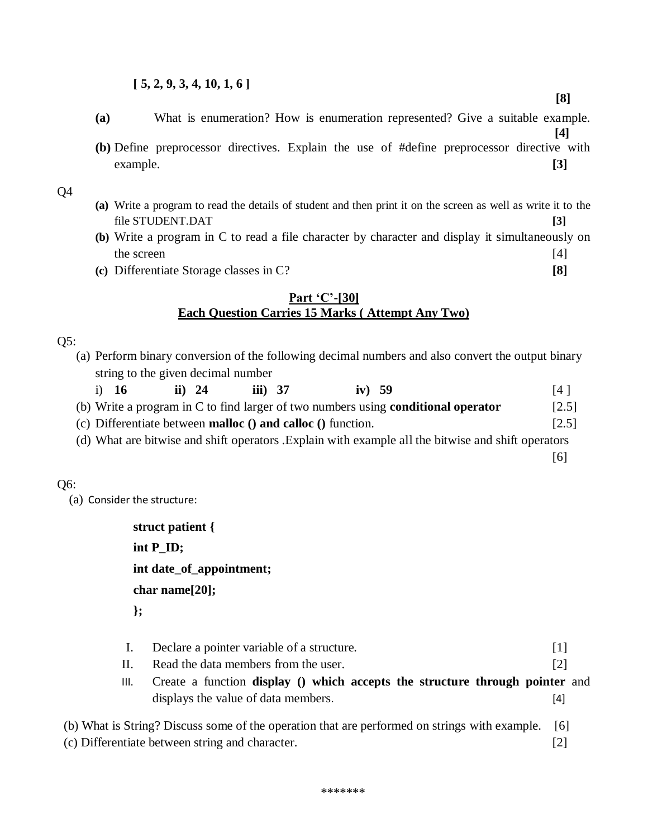#### **[ 5, 2, 9, 3, 4, 10, 1, 6 ]**

- **(a)** What is enumeration? How is enumeration represented? Give a suitable example.
- **[4] (b)** Define preprocessor directives. Explain the use of #define preprocessor directive with example. **[3]**

Q4

- **(a)** Write a program to read the details of student and then print it on the screen as well as write it to the file STUDENT.DAT **[3]**
- **(b)** Write a program in C to read a file character by character and display it simultaneously on the screen [4]
- **(c)** Differentiate Storage classes in C? **[8]**

#### **Part 'C'-[30] Each Question Carries 15 Marks ( Attempt Any Two)**

Q5:

- (a) Perform binary conversion of the following decimal numbers and also convert the output binary string to the given decimal number
	- i) **16 ii) 24 iii) 37 iv) 59** [4 ]
- (b) Write a program in C to find larger of two numbers using **conditional operator** [2.5]
- (c) Differentiate between **malloc () and calloc ()** function. [2.5]
- (d) What are bitwise and shift operators .Explain with example all the bitwise and shift operators

Q6: (a) Consider the structure:

> **struct patient { int P\_ID; int date\_of\_appointment; char name[20]; };**

- I. Declare a pointer variable of a structure. [1]
- II. Read the data members from the user. [2]
- III. Create a function **display () which accepts the structure through pointer** and displays the value of data members. [4]

(b) What is String? Discuss some of the operation that are performed on strings with example. [6] (c) Differentiate between string and character. [2]

**[8]**

[6]